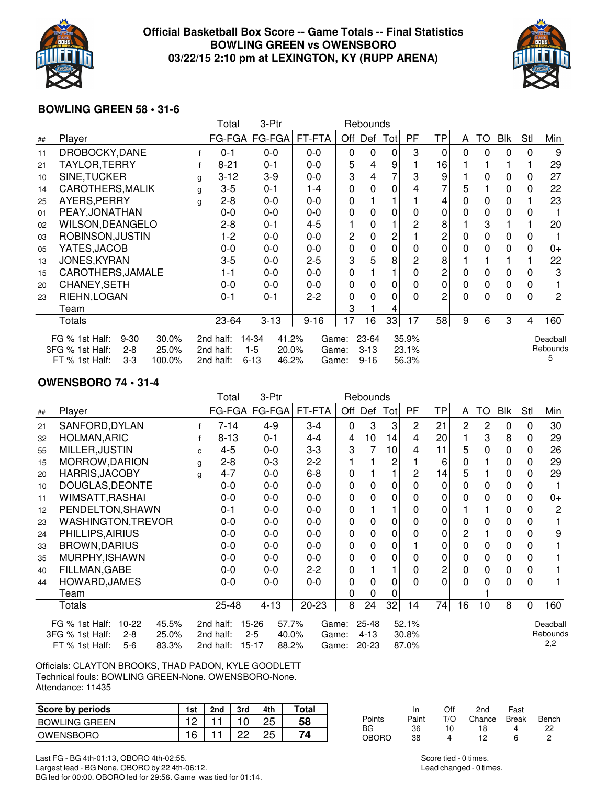

## **Official Basketball Box Score -- Game Totals -- Final Statistics BOWLING GREEN vs OWENSBORO 03/22/15 2:10 pm at LEXINGTON, KY (RUPP ARENA)**



## **BOWLING GREEN 58 • 31-6**

|    |                                                                                                                 |   | Total                               | 3-Ptr                                                 |                         |              | Rebounds                      |              |                         |          |          |          |             |                |                           |
|----|-----------------------------------------------------------------------------------------------------------------|---|-------------------------------------|-------------------------------------------------------|-------------------------|--------------|-------------------------------|--------------|-------------------------|----------|----------|----------|-------------|----------------|---------------------------|
| ## | Player                                                                                                          |   |                                     | FG-FGA   FG-FGA                                       | FT-FTA                  |              | Off Def Tot                   |              | PF                      | TP       | A        | TO       | Blk         | Stl            | Min                       |
| 11 | DROBOCKY, DANE                                                                                                  |   | $0 - 1$                             | $0-0$                                                 | $0 - 0$                 | $\mathbf{0}$ | $\mathbf{0}$                  | $\mathbf{0}$ | 3                       | $\Omega$ | $\Omega$ | $\Omega$ | $\Omega$    | 0              | 9                         |
| 21 | TAYLOR, TERRY                                                                                                   |   | $8 - 21$                            | $0 - 1$                                               | $0-0$                   | 5            | 4                             | 9            |                         | 16       |          |          |             |                | 29                        |
| 10 | SINE, TUCKER                                                                                                    | g | $3 - 12$                            | $3-9$                                                 | $0-0$                   | 3            | 4                             |              | 3                       | 9        |          | 0        | 0           | 0              | 27                        |
| 14 | CAROTHERS, MALIK                                                                                                | g | $3-5$                               | $0 - 1$                                               | $1 - 4$                 | 0            | 0                             | 0            | 4                       |          | 5        |          | 0           | 0              | 22                        |
| 25 | AYERS, PERRY                                                                                                    | g | $2 - 8$                             | 0-0                                                   | $0-0$                   | 0            |                               |              |                         | 4        | $\Omega$ | 0        | 0           |                | 23                        |
| 01 | PEAY, JONATHAN                                                                                                  |   | $0 - 0$                             | $0 - 0$                                               | $0-0$                   | 0            | 0                             | 0            | 0                       | 0        | 0        | 0        | 0           |                |                           |
| 02 | <b>WILSON, DEANGELO</b>                                                                                         |   | $2 - 8$                             | $0 - 1$                                               | 4-5                     |              | 0                             |              | 2                       | 8        |          | 3        |             |                | 20                        |
| 03 | ROBINSON, JUSTIN                                                                                                |   | 1-2                                 | $0 - 0$                                               | $0-0$                   | 2            | $\mathbf{0}$                  | 2            |                         | 2        | 0        | 0        | $\Omega$    | 0              |                           |
| 05 | YATES, JACOB                                                                                                    |   | $0 - 0$                             | $0 - 0$                                               | $0 - 0$                 | 0            | 0                             | $\mathbf 0$  | $\mathbf{0}$            | 0        | $\Omega$ | 0        | 0           | 0              | $0+$                      |
| 13 | <b>JONES, KYRAN</b>                                                                                             |   | $3-5$                               | $0 - 0$                                               | $2 - 5$                 | 3            | 5                             | 8            | 2                       | 8        |          |          |             |                | 22                        |
| 15 | CAROTHERS, JAMALE                                                                                               |   | 1-1                                 | $0 - 0$                                               | $0-0$                   | 0            |                               |              | 0                       | 2        | 0        | 0        | $\Omega$    | 0              | 3                         |
| 20 | CHANEY, SETH                                                                                                    |   | $0 - 0$                             | 0-0                                                   | $0-0$                   | 0            | 0                             | 0            | 0                       | 0        | 0        | 0        | $\mathbf 0$ | 0              |                           |
| 23 | RIEHN, LOGAN                                                                                                    |   | $0 - 1$                             | $0 - 1$                                               | $2 - 2$                 | $\mathbf{0}$ | 0                             | 0            | 0                       | 2        | $\Omega$ | 0        | $\Omega$    | U              | 2                         |
|    | Team                                                                                                            |   |                                     |                                                       |                         | 3            |                               | 4            |                         |          |          |          |             |                |                           |
|    | Totals                                                                                                          |   | 23-64                               | $3 - 13$                                              | $9 - 16$                | 17           | 16                            | 33           | 17                      | 58       | 9        | 6        | 3           | $\overline{4}$ | 160                       |
|    | FG % 1st Half:<br>$9 - 30$<br>30.0%<br>3FG % 1st Half:<br>25.0%<br>$2 - 8$<br>FT % 1st Half:<br>$3-3$<br>100.0% |   | 2nd half:<br>2nd half:<br>2nd half: | 41.2%<br>14-34<br>$1-5$<br>20.0%<br>$6 - 13$<br>46.2% | Game:<br>Game:<br>Game: |              | 23-64<br>$3 - 13$<br>$9 - 16$ |              | 35.9%<br>23.1%<br>56.3% |          |          |          |             |                | Deadball<br>Rebounds<br>5 |

## **OWENSBORO 74 • 31-4**

|    |                                                                                                               |   | Total                               | 3-Ptr                                                |                         |              | Rebounds                       |             |                         |    |          |           |          |                |                             |
|----|---------------------------------------------------------------------------------------------------------------|---|-------------------------------------|------------------------------------------------------|-------------------------|--------------|--------------------------------|-------------|-------------------------|----|----------|-----------|----------|----------------|-----------------------------|
| ## | Player                                                                                                        |   | FG-FGA                              | $FG-FGA$                                             | FT-FTA                  |              | Off Def Tot                    |             | <b>PF</b>               | TP | A        | <b>TO</b> | Blk      | Stl            | Min                         |
| 21 | SANFORD, DYLAN                                                                                                |   | $7 - 14$                            | 4-9                                                  | 3-4                     | $\mathbf{0}$ | 3                              | 3           | 2                       | 21 | 2        | 2         | 0        | $\Omega$       | 30                          |
| 32 | <b>HOLMAN, ARIC</b>                                                                                           |   | $8 - 13$                            | $0 - 1$                                              | 4-4                     | 4            | 10                             | 14          | 4                       | 20 |          | 3         | 8        | 0              | 29                          |
| 55 | MILLER, JUSTIN                                                                                                | C | $4 - 5$                             | $0 - 0$                                              | $3 - 3$                 | 3            | 7                              | 10          | 4                       | 11 | 5        | 0         | 0        | 0              | 26                          |
| 15 | MORROW, DARION                                                                                                | g | $2 - 8$                             | $0 - 3$                                              | $2 - 2$                 |              |                                | 2           |                         | 6  | 0        |           | 0        | 0              | 29                          |
| 20 | <b>HARRIS, JACOBY</b>                                                                                         | g | 4-7                                 | $0 - 0$                                              | $6 - 8$                 | 0            |                                |             | 2                       | 14 | 5        |           | 0        | O              | 29                          |
| 10 | DOUGLAS, DEONTE                                                                                               |   | $0 - 0$                             | $0 - 0$                                              | $0 - 0$                 | 0            | 0                              | $\mathbf 0$ | 0                       | 0  | 0        | 0         | 0        | 0              |                             |
| 11 | WIMSATT, RASHAI                                                                                               |   | $0-0$                               | $0-0$                                                | $0-0$                   | 0            | 0                              | 0           | $\Omega$                | 0  | 0        | 0         | $\Omega$ | 0              | 0+                          |
| 12 | PENDELTON, SHAWN                                                                                              |   | $0 - 1$                             | $0-0$                                                | $0-0$                   | 0            |                                |             | 0                       | 0  |          |           | 0        | 0              | 2                           |
| 23 | <b>WASHINGTON, TREVOR</b>                                                                                     |   | $0 - 0$                             | $0 - 0$                                              | $0 - 0$                 | 0            | 0                              | $\Omega$    | $\Omega$                | 0  | $\Omega$ | 0         | $\Omega$ | 0              |                             |
| 24 | PHILLIPS, AIRIUS                                                                                              |   | $0 - 0$                             | $0 - 0$                                              | $0-0$                   | 0            | 0                              | 0           | 0                       | 0  | 2        |           | 0        | 0              | 9                           |
| 33 | <b>BROWN, DARIUS</b>                                                                                          |   | $0-0$                               | 0-0                                                  | $0-0$                   | 0            | 0                              | $\mathbf 0$ |                         | 0  | $\Omega$ | 0         | 0        | 0              |                             |
| 35 | MURPHY, ISHAWN                                                                                                |   | $0 - 0$                             | 0-0                                                  | $0-0$                   | 0            | 0                              | 0           | 0                       | 0  | 0        | 0         | $\Omega$ | 0              |                             |
| 40 | FILLMAN, GABE                                                                                                 |   | $0 - 0$                             | $0 - 0$                                              | $2 - 2$                 | 0            |                                |             | 0                       | 2  | 0        | 0         | 0        | 0              |                             |
| 44 | HOWARD, JAMES                                                                                                 |   | $0 - 0$                             | $0 - 0$                                              | $0-0$                   | 0            | 0                              | 0           | $\Omega$                | 0  | $\Omega$ | 0         | $\Omega$ | 0              |                             |
|    | Team                                                                                                          |   |                                     |                                                      |                         | 0            | $\Omega$                       | 0           |                         |    |          |           |          |                |                             |
|    | Totals                                                                                                        |   | 25-48                               | $4 - 13$                                             | 20-23                   | 8            | 24                             | 32          | 14                      | 74 | 16       | 10        | 8        | $\overline{0}$ | 160                         |
|    | 45.5%<br>FG % 1st Half:<br>$10-22$<br>3FG % 1st Half:<br>25.0%<br>$2 - 8$<br>FT % 1st Half:<br>$5-6$<br>83.3% |   | 2nd half:<br>2nd half:<br>2nd half: | 15-26<br>57.7%<br>$2 - 5$<br>40.0%<br>15-17<br>88.2% | Game:<br>Game:<br>Game: |              | $25 - 48$<br>$4 - 13$<br>20-23 |             | 52.1%<br>30.8%<br>87.0% |    |          |           |          |                | Deadball<br>Rebounds<br>2,2 |

Officials: CLAYTON BROOKS, THAD PADON, KYLE GOODLETT Technical fouls: BOWLING GREEN-None. OWENSBORO-None. Attendance: 11435

| Score by periods      | 1st | 2nd | 3rd | 4th | ™otaı |
|-----------------------|-----|-----|-----|-----|-------|
| <b>IBOWLING GREEN</b> |     |     |     |     | 58    |
| <b>IOWENSBORO</b>     |     |     |     |     | 74    |

Last FG - BG 4th-01:13, OBORO 4th-02:55. Largest lead - BG None, OBORO by 22 4th-06:12. BG led for 00:00. OBORO led for 29:56. Game was tied for 01:14.

|              | In    | Off | 2nd          | Fast |       |
|--------------|-------|-----|--------------|------|-------|
| Points       | Paint | T/O | Chance Break |      | Bench |
| BG.          | 36    | 10  | 18           |      | 22    |
| <b>OBORO</b> | 38    |     | 12           | ี    |       |

Score tied - 0 times. Lead changed - 0 times.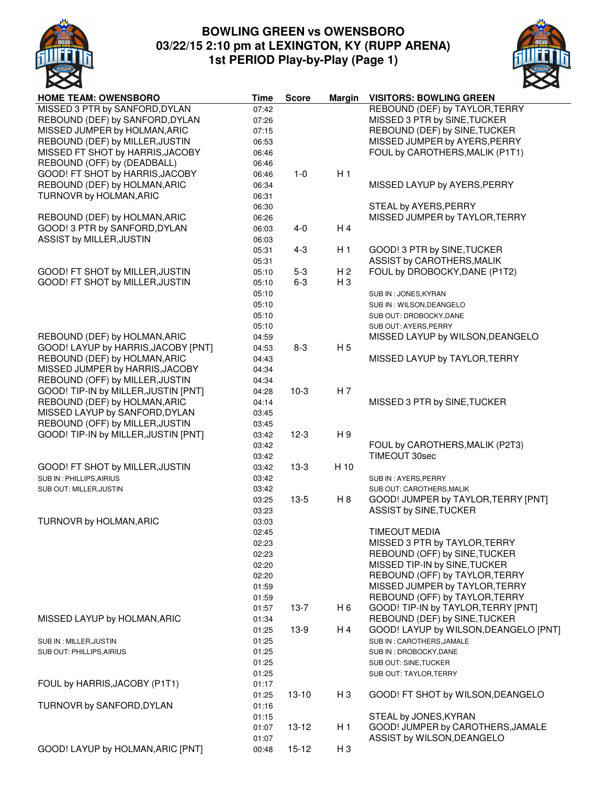

# **BOWLING GREEN vs OWENSBORO 03/22/15 2:10 pm at LEXINGTON, KY (RUPP ARENA) 1st PERIOD Play-by-Play (Page 1)**



| <b>HOME TEAM: OWENSBORO</b>                                          | <b>Time</b> | <b>Score</b> | <b>Margin</b>  | <b>VISITORS: BOWLING GREEN</b>        |
|----------------------------------------------------------------------|-------------|--------------|----------------|---------------------------------------|
| MISSED 3 PTR by SANFORD, DYLAN                                       | 07:42       |              |                | REBOUND (DEF) by TAYLOR, TERRY        |
| REBOUND (DEF) by SANFORD, DYLAN                                      | 07:26       |              |                | MISSED 3 PTR by SINE, TUCKER          |
| MISSED JUMPER by HOLMAN, ARIC                                        | 07:15       |              |                | REBOUND (DEF) by SINE, TUCKER         |
| REBOUND (DEF) by MILLER, JUSTIN                                      | 06:53       |              |                | MISSED JUMPER by AYERS, PERRY         |
| MISSED FT SHOT by HARRIS, JACOBY                                     | 06:46       |              |                | FOUL by CAROTHERS, MALIK (P1T1)       |
| REBOUND (OFF) by (DEADBALL)                                          | 06:46       |              |                |                                       |
| GOOD! FT SHOT by HARRIS, JACOBY                                      | 06:46       | $1 - 0$      | H1             |                                       |
| REBOUND (DEF) by HOLMAN, ARIC                                        | 06:34       |              |                | MISSED LAYUP by AYERS, PERRY          |
| TURNOVR by HOLMAN, ARIC                                              | 06:31       |              |                |                                       |
|                                                                      | 06:30       |              |                | STEAL by AYERS, PERRY                 |
| REBOUND (DEF) by HOLMAN, ARIC                                        | 06:26       |              |                | MISSED JUMPER by TAYLOR, TERRY        |
| GOOD! 3 PTR by SANFORD, DYLAN                                        | 06:03       | $4 - 0$      | H <sub>4</sub> |                                       |
| ASSIST by MILLER, JUSTIN                                             | 06:03       |              |                |                                       |
|                                                                      | 05:31       | $4 - 3$      | H <sub>1</sub> | GOOD! 3 PTR by SINE, TUCKER           |
|                                                                      | 05:31       |              |                | ASSIST by CAROTHERS, MALIK            |
| GOOD! FT SHOT by MILLER, JUSTIN                                      | 05:10       | $5 - 3$      | H <sub>2</sub> | FOUL by DROBOCKY, DANE (P1T2)         |
| GOOD! FT SHOT by MILLER, JUSTIN                                      | 05:10       | $6 - 3$      | H <sub>3</sub> |                                       |
|                                                                      | 05:10       |              |                | SUB IN: JONES, KYRAN                  |
|                                                                      | 05:10       |              |                | SUB IN : WILSON, DEANGELO             |
|                                                                      | 05:10       |              |                | SUB OUT: DROBOCKY, DANE               |
|                                                                      | 05:10       |              |                |                                       |
|                                                                      |             |              |                | SUB OUT: AYERS, PERRY                 |
| REBOUND (DEF) by HOLMAN, ARIC<br>GOOD! LAYUP by HARRIS, JACOBY [PNT] | 04:59       |              |                | MISSED LAYUP by WILSON, DEANGELO      |
|                                                                      | 04:53       | $8 - 3$      | H <sub>5</sub> |                                       |
| REBOUND (DEF) by HOLMAN, ARIC                                        | 04:43       |              |                | MISSED LAYUP by TAYLOR, TERRY         |
| MISSED JUMPER by HARRIS, JACOBY                                      | 04:34       |              |                |                                       |
| REBOUND (OFF) by MILLER, JUSTIN                                      | 04:34       |              |                |                                       |
| GOOD! TIP-IN by MILLER, JUSTIN [PNT]                                 | 04:28       | $10-3$       | H <sub>7</sub> |                                       |
| REBOUND (DEF) by HOLMAN, ARIC                                        | 04:14       |              |                | MISSED 3 PTR by SINE, TUCKER          |
| MISSED LAYUP by SANFORD, DYLAN                                       | 03:45       |              |                |                                       |
| REBOUND (OFF) by MILLER, JUSTIN                                      | 03:45       |              |                |                                       |
| GOOD! TIP-IN by MILLER, JUSTIN [PNT]                                 | 03:42       | $12-3$       | H 9            |                                       |
|                                                                      | 03:42       |              |                | FOUL by CAROTHERS, MALIK (P2T3)       |
|                                                                      | 03:42       |              |                | TIMEOUT 30sec                         |
| GOOD! FT SHOT by MILLER, JUSTIN                                      | 03:42       | $13-3$       | H 10           |                                       |
| SUB IN : PHILLIPS, AIRIUS                                            | 03:42       |              |                | SUB IN: AYERS, PERRY                  |
| SUB OUT: MILLER, JUSTIN                                              | 03:42       |              |                | SUB OUT: CAROTHERS, MALIK             |
|                                                                      | 03:25       | $13-5$       | H 8            | GOOD! JUMPER by TAYLOR, TERRY [PNT]   |
|                                                                      | 03:23       |              |                | ASSIST by SINE, TUCKER                |
| TURNOVR by HOLMAN, ARIC                                              | 03:03       |              |                |                                       |
|                                                                      | 02:45       |              |                | <b>TIMEOUT MEDIA</b>                  |
|                                                                      | 02:23       |              |                | MISSED 3 PTR by TAYLOR, TERRY         |
|                                                                      | 02:23       |              |                | REBOUND (OFF) by SINE, TUCKER         |
|                                                                      | 02:20       |              |                | MISSED TIP-IN by SINE, TUCKER         |
|                                                                      | 02:20       |              |                | REBOUND (OFF) by TAYLOR, TERRY        |
|                                                                      | 01:59       |              |                | MISSED JUMPER by TAYLOR, TERRY        |
|                                                                      | 01:59       |              |                | REBOUND (OFF) by TAYLOR, TERRY        |
|                                                                      | 01:57       | $13-7$       | H 6            | GOOD! TIP-IN by TAYLOR, TERRY [PNT]   |
| MISSED LAYUP by HOLMAN, ARIC                                         | 01:34       |              |                | REBOUND (DEF) by SINE, TUCKER         |
|                                                                      | 01:25       | $13-9$       | H 4            | GOOD! LAYUP by WILSON, DEANGELO [PNT] |
| SUB IN : MILLER, JUSTIN                                              | 01:25       |              |                | SUB IN: CAROTHERS, JAMALE             |
| SUB OUT: PHILLIPS, AIRIUS                                            | 01:25       |              |                | SUB IN: DROBOCKY, DANE                |
|                                                                      | 01:25       |              |                | SUB OUT: SINE, TUCKER                 |
|                                                                      | 01:25       |              |                | SUB OUT: TAYLOR, TERRY                |
| FOUL by HARRIS, JACOBY (P1T1)                                        | 01:17       |              |                |                                       |
|                                                                      | 01:25       | $13 - 10$    | H <sub>3</sub> | GOOD! FT SHOT by WILSON, DEANGELO     |
| TURNOVR by SANFORD, DYLAN                                            | 01:16       |              |                |                                       |
|                                                                      | 01:15       |              |                | STEAL by JONES, KYRAN                 |
|                                                                      | 01:07       | $13 - 12$    | H <sub>1</sub> | GOOD! JUMPER by CAROTHERS, JAMALE     |
|                                                                      | 01:07       |              |                | ASSIST by WILSON, DEANGELO            |
| GOOD! LAYUP by HOLMAN, ARIC [PNT]                                    | 00:48       | $15 - 12$    | $H_3$          |                                       |
|                                                                      |             |              |                |                                       |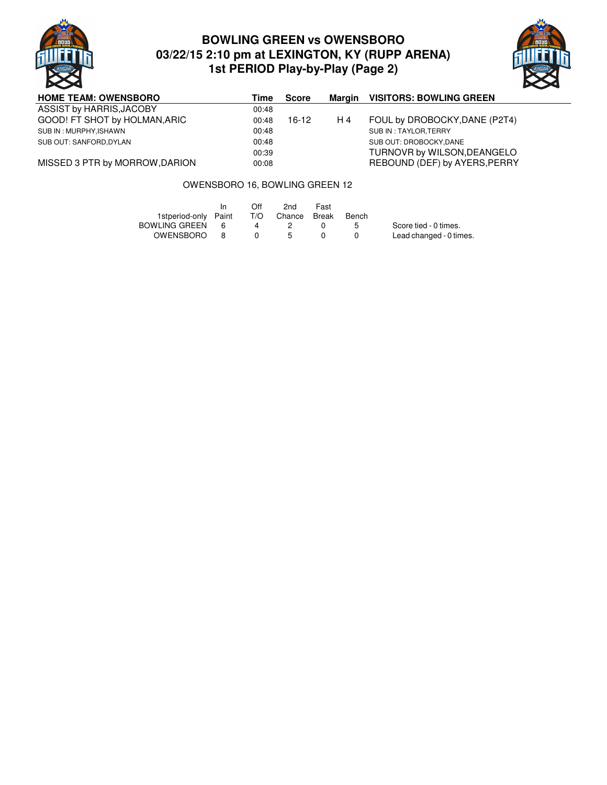

# **BOWLING GREEN vs OWENSBORO 03/22/15 2:10 pm at LEXINGTON, KY (RUPP ARENA) 1st PERIOD Play-by-Play (Page 2)**



| <b>HOME TEAM: OWENSBORO</b>    | Time  | <b>Score</b> | Margin | <b>VISITORS: BOWLING GREEN</b> |
|--------------------------------|-------|--------------|--------|--------------------------------|
| ASSIST by HARRIS, JACOBY       | 00:48 |              |        |                                |
| GOOD! FT SHOT by HOLMAN, ARIC  | 00:48 | 16-12        | H 4    | FOUL by DROBOCKY, DANE (P2T4)  |
| SUB IN : MURPHY, ISHAWN        | 00:48 |              |        | SUB IN : TAYLOR, TERRY         |
| SUB OUT: SANFORD, DYLAN        | 00:48 |              |        | SUB OUT: DROBOCKY.DANE         |
|                                | 00:39 |              |        | TURNOVR by WILSON, DEANGELO    |
| MISSED 3 PTR by MORROW, DARION | 00:08 |              |        | REBOUND (DEF) by AYERS, PERRY  |

### OWENSBORO 16, BOWLING GREEN 12

|                      |          | Off | 2nd           | Fast |       |                         |
|----------------------|----------|-----|---------------|------|-------|-------------------------|
| 1stperiod-only Paint |          | T/O | Chance Break  |      | Bench |                         |
| BOWLING GREEN        | <b>6</b> |     |               |      |       | Score tied - 0 times.   |
| OWENSBORO            | - 8      |     | $\mathcal{P}$ |      |       | Lead changed - 0 times. |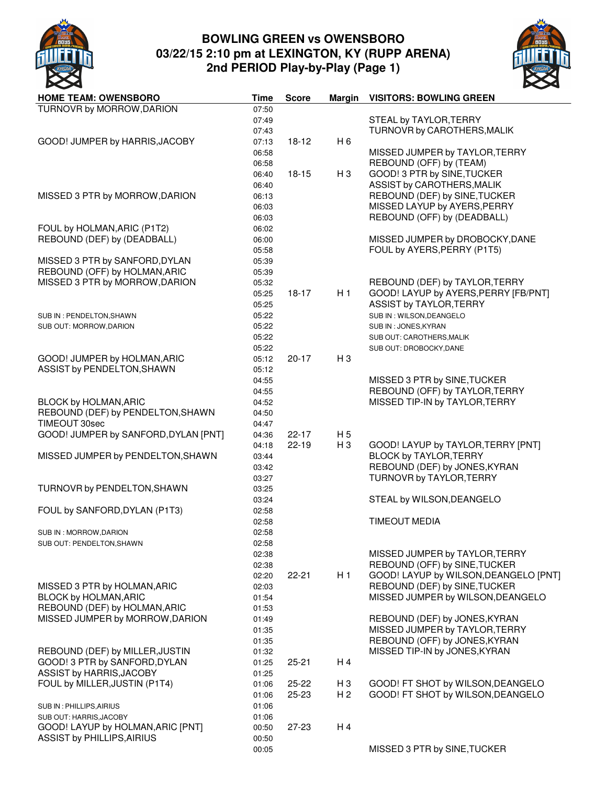

# **BOWLING GREEN vs OWENSBORO 03/22/15 2:10 pm at LEXINGTON, KY (RUPP ARENA) 2nd PERIOD Play-by-Play (Page 1)**



| <b>HOME TEAM: OWENSBORO</b>          | <b>Time</b> | <b>Score</b> | Margin         | <b>VISITORS: BOWLING GREEN</b>        |
|--------------------------------------|-------------|--------------|----------------|---------------------------------------|
| TURNOVR by MORROW, DARION            | 07:50       |              |                |                                       |
|                                      | 07:49       |              |                | STEAL by TAYLOR, TERRY                |
|                                      | 07:43       |              |                | TURNOVR by CAROTHERS, MALIK           |
| GOOD! JUMPER by HARRIS, JACOBY       | 07:13       | $18-12$      | H <sub>6</sub> |                                       |
|                                      | 06:58       |              |                | MISSED JUMPER by TAYLOR, TERRY        |
|                                      | 06:58       |              |                | REBOUND (OFF) by (TEAM)               |
|                                      | 06:40       | $18 - 15$    | H <sub>3</sub> | GOOD! 3 PTR by SINE, TUCKER           |
|                                      | 06:40       |              |                | ASSIST by CAROTHERS, MALIK            |
| MISSED 3 PTR by MORROW, DARION       | 06:13       |              |                | REBOUND (DEF) by SINE, TUCKER         |
|                                      | 06:03       |              |                | MISSED LAYUP by AYERS, PERRY          |
|                                      |             |              |                | REBOUND (OFF) by (DEADBALL)           |
|                                      | 06:03       |              |                |                                       |
| FOUL by HOLMAN, ARIC (P1T2)          | 06:02       |              |                |                                       |
| REBOUND (DEF) by (DEADBALL)          | 06:00       |              |                | MISSED JUMPER by DROBOCKY, DANE       |
|                                      | 05:58       |              |                | FOUL by AYERS, PERRY (P1T5)           |
| MISSED 3 PTR by SANFORD, DYLAN       | 05:39       |              |                |                                       |
| REBOUND (OFF) by HOLMAN, ARIC        | 05:39       |              |                |                                       |
| MISSED 3 PTR by MORROW, DARION       | 05:32       |              |                | REBOUND (DEF) by TAYLOR, TERRY        |
|                                      | 05:25       | 18-17        | H1             | GOOD! LAYUP by AYERS, PERRY [FB/PNT]  |
|                                      | 05:25       |              |                | ASSIST by TAYLOR, TERRY               |
| SUB IN : PENDELTON, SHAWN            | 05:22       |              |                | SUB IN : WILSON, DEANGELO             |
| SUB OUT: MORROW, DARION              | 05:22       |              |                | SUB IN: JONES, KYRAN                  |
|                                      | 05:22       |              |                | SUB OUT: CAROTHERS, MALIK             |
|                                      | 05:22       |              |                | SUB OUT: DROBOCKY, DANE               |
| GOOD! JUMPER by HOLMAN, ARIC         | 05:12       | $20 - 17$    | $H_3$          |                                       |
| ASSIST by PENDELTON, SHAWN           | 05:12       |              |                |                                       |
|                                      | 04:55       |              |                | MISSED 3 PTR by SINE, TUCKER          |
|                                      | 04:55       |              |                | REBOUND (OFF) by TAYLOR, TERRY        |
| BLOCK by HOLMAN, ARIC                | 04:52       |              |                | MISSED TIP-IN by TAYLOR, TERRY        |
| REBOUND (DEF) by PENDELTON, SHAWN    | 04:50       |              |                |                                       |
| TIMEOUT 30sec                        | 04:47       |              |                |                                       |
| GOOD! JUMPER by SANFORD, DYLAN [PNT] | 04:36       | $22 - 17$    | H <sub>5</sub> |                                       |
|                                      | 04:18       | $22 - 19$    | $H_3$          | GOOD! LAYUP by TAYLOR, TERRY [PNT]    |
| MISSED JUMPER by PENDELTON, SHAWN    | 03:44       |              |                | <b>BLOCK by TAYLOR, TERRY</b>         |
|                                      | 03:42       |              |                | REBOUND (DEF) by JONES, KYRAN         |
|                                      |             |              |                |                                       |
|                                      | 03:27       |              |                | TURNOVR by TAYLOR, TERRY              |
| TURNOVR by PENDELTON, SHAWN          | 03:25       |              |                |                                       |
|                                      | 03:24       |              |                | STEAL by WILSON, DEANGELO             |
| FOUL by SANFORD, DYLAN (P1T3)        | 02:58       |              |                |                                       |
|                                      | 02:58       |              |                | <b>TIMEOUT MEDIA</b>                  |
| SUB IN : MORROW, DARION              | 02:58       |              |                |                                       |
| SUB OUT: PENDELTON, SHAWN            | 02:58       |              |                |                                       |
|                                      | 02:38       |              |                | MISSED JUMPER by TAYLOR, TERRY        |
|                                      | 02:38       |              |                | REBOUND (OFF) by SINE, TUCKER         |
|                                      | 02:20       | $22 - 21$    | H1             | GOOD! LAYUP by WILSON, DEANGELO [PNT] |
| MISSED 3 PTR by HOLMAN, ARIC         | 02:03       |              |                | REBOUND (DEF) by SINE, TUCKER         |
| BLOCK by HOLMAN, ARIC                | 01:54       |              |                | MISSED JUMPER by WILSON, DEANGELO     |
| REBOUND (DEF) by HOLMAN, ARIC        | 01:53       |              |                |                                       |
| MISSED JUMPER by MORROW, DARION      | 01:49       |              |                | REBOUND (DEF) by JONES, KYRAN         |
|                                      | 01:35       |              |                | MISSED JUMPER by TAYLOR, TERRY        |
|                                      | 01:35       |              |                | REBOUND (OFF) by JONES, KYRAN         |
| REBOUND (DEF) by MILLER, JUSTIN      | 01:32       |              |                | MISSED TIP-IN by JONES, KYRAN         |
| GOOD! 3 PTR by SANFORD, DYLAN        | 01:25       | $25 - 21$    | H 4            |                                       |
| ASSIST by HARRIS, JACOBY             | 01:25       |              |                |                                       |
| FOUL by MILLER, JUSTIN (P1T4)        | 01:06       | 25-22        | H <sub>3</sub> | GOOD! FT SHOT by WILSON, DEANGELO     |
|                                      | 01:06       | $25 - 23$    | H <sub>2</sub> | GOOD! FT SHOT by WILSON, DEANGELO     |
|                                      | 01:06       |              |                |                                       |
| SUB IN : PHILLIPS, AIRIUS            |             |              |                |                                       |
| SUB OUT: HARRIS, JACOBY              | 01:06       |              | H 4            |                                       |
| GOOD! LAYUP by HOLMAN, ARIC [PNT]    | 00:50       | $27 - 23$    |                |                                       |
| <b>ASSIST by PHILLIPS, AIRIUS</b>    | 00:50       |              |                |                                       |
|                                      | 00:05       |              |                | MISSED 3 PTR by SINE, TUCKER          |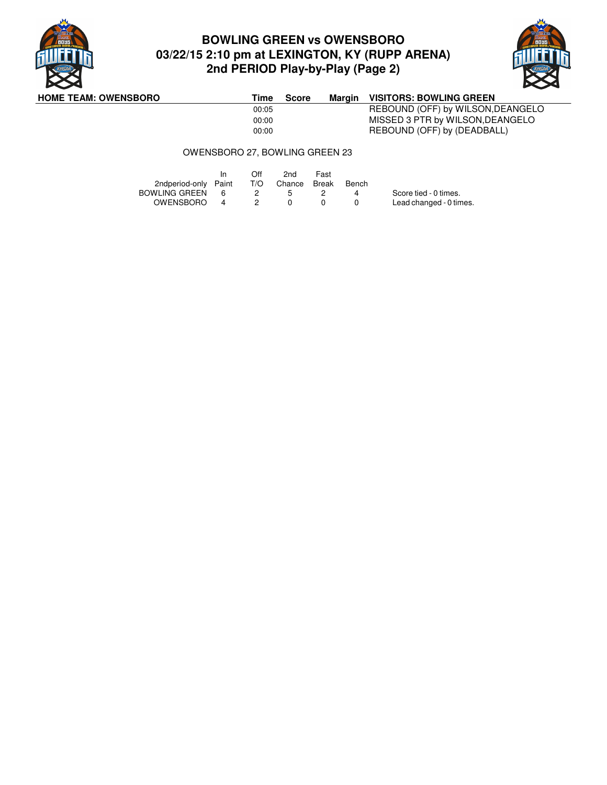

# **BOWLING GREEN vs OWENSBORO 03/22/15 2:10 pm at LEXINGTON, KY (RUPP ARENA) 2nd PERIOD Play-by-Play (Page 2)**



**HOME TEAM: OWENSBORO Time Score Margin VISITORS: BOWLING GREEN**<br>00:05 REBOUND (OFF) by WILSON, I REBOUND (OFF) by WILSON,DEANGELO 00:00 MISSED 3 PTR by WILSON, DEANGELO<br>00:00 REBOUND (OFF) by (DEADBALL) REBOUND (OFF) by (DEADBALL)

#### OWENSBORO 27, BOWLING GREEN 23

|                      | In  | Off | 2nd              | Fast |       |                         |
|----------------------|-----|-----|------------------|------|-------|-------------------------|
| 2ndperiod-only Paint |     |     | T/O Chance Break |      | Bench |                         |
| <b>BOWLING GREEN</b> | - 6 |     | <b>5</b>         |      |       | Score tied - 0 times.   |
| OWENSBORO            | 4   |     |                  |      |       | Lead changed - 0 times. |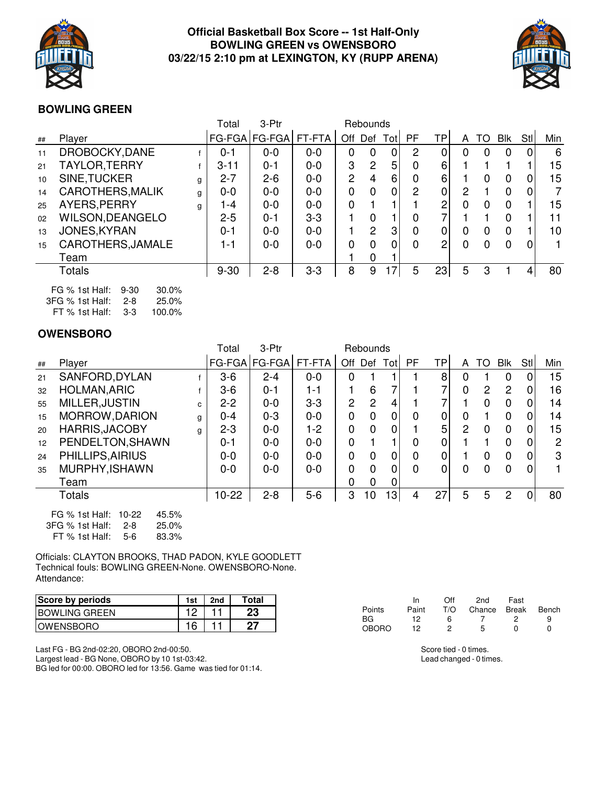

## **Official Basketball Box Score -- 1st Half-Only BOWLING GREEN vs OWENSBORO 03/22/15 2:10 pm at LEXINGTON, KY (RUPP ARENA)**



## **BOWLING GREEN**

|    |                         |   | Total    | 3-Ptr         |         |     | Rebounds       |      |          |                |   |    |            |     |            |
|----|-------------------------|---|----------|---------------|---------|-----|----------------|------|----------|----------------|---|----|------------|-----|------------|
| ## | Player                  |   | FG-FGA   | <b>FG-FGA</b> | FT-FTA  | Off | Def            | Totl | PF       | ТP             | A | TO | <b>Blk</b> | Stl | <b>Min</b> |
| 11 | DROBOCKY, DANE          |   | $0 - 1$  | $0 - 0$       | $0 - 0$ | 0   | 0              | 0    | 2        |                |   | 0  |            | 0   | 6          |
| 21 | TAYLOR, TERRY           |   | $3 - 11$ | $0 - 1$       | $0 - 0$ | 3   | 2              | 5    | 0        | 6              |   |    |            |     | 15         |
| 10 | SINE, TUCKER            | g | $2 - 7$  | $2 - 6$       | $0 - 0$ | 2   | 4              | 6    | $\Omega$ | 6              |   |    |            | 0   | 15         |
| 14 | <b>CAROTHERS, MALIK</b> | a | $0 - 0$  | $0 - 0$       | $0 - 0$ | 0   | 0              | 0    | 2        | $\overline{0}$ | 2 |    |            | 0   | 7          |
| 25 | AYERS, PERRY            | g | l -4     | $0 - 0$       | $0 - 0$ | 0   |                |      |          | 2              |   | 0  |            |     | 15         |
| 02 | <b>WILSON, DEANGELO</b> |   | $2 - 5$  | $0 - 1$       | $3-3$   |     | 0              |      |          |                |   |    |            |     | 11         |
| 13 | JONES, KYRAN            |   | $0 - 1$  | $0 - 0$       | $0 - 0$ |     | $\overline{2}$ | 3    | 0        | 0              |   | 0  |            |     | 10         |
| 15 | CAROTHERS, JAMALE       |   | 1-1      | $0 - 0$       | $0 - 0$ | 0   | $\Omega$       | 0    | $\Omega$ | 2              |   | 0  | O          | 0   | 1.         |
|    | Team                    |   |          |               |         |     | $\Omega$       |      |          |                |   |    |            |     |            |
|    | Totals                  |   | $9 - 30$ | $2 - 8$       | $3 - 3$ | 8   | 9              | 17   | 5        | 23             | 5 | 3  |            | 4   | 80         |
|    |                         |   |          |               |         |     |                |      |          |                |   |    |            |     |            |

| FG % 1st Half: 9-30 |         | $30.0\%$ |
|---------------------|---------|----------|
| $3FG %$ 1st Half:   | $2 - 8$ | $25.0\%$ |
| $FT \%$ 1st Half:   | $3-3$   | 100.0%   |

## **OWENSBORO**

|    |                                                                           |    | Total   | 3-Ptr   |         |                | Rebounds       |      |           |                |          |          |                |                |     |
|----|---------------------------------------------------------------------------|----|---------|---------|---------|----------------|----------------|------|-----------|----------------|----------|----------|----------------|----------------|-----|
| ## | Player                                                                    |    | FG-FGA  | FG-FGA  | FT-FTA  | Off            | Def            | Totl | <b>PF</b> | ТP             | A        | TO       | Blk            | Stl            | Min |
| 21 | SANFORD, DYLAN                                                            |    | $3-6$   | $2 - 4$ | $0 - 0$ | 0              |                |      |           | 8              | 0        |          | 0              | 0              | 15  |
| 32 | <b>HOLMAN, ARIC</b>                                                       |    | $3-6$   | $0 - 1$ | 1-1     |                | 6              |      |           |                | 0        | 2        | 2              | 0              | 16  |
| 55 | MILLER, JUSTIN                                                            | C. | $2 - 2$ | $0 - 0$ | $3 - 3$ | $\overline{2}$ | 2              | 4    |           |                |          | $\Omega$ | 0              | 0              | 14  |
| 15 | MORROW, DARION                                                            | g  | $0 - 4$ | $0 - 3$ | $0 - 0$ | $\mathbf 0$    | $\overline{0}$ | 0    | 0         | 0              | 0        |          | 0              | 0              | 14  |
| 20 | <b>HARRIS, JACOBY</b>                                                     | g  | $2 - 3$ | $0 - 0$ | $1 - 2$ | 0              | $\overline{0}$ | 0    |           | 5              | 2        | 0        | 0              | 0              | 15  |
| 12 | PENDELTON, SHAWN                                                          |    | $0 - 1$ | $0 - 0$ | $0 - 0$ | 0              |                |      | 0         | 0              |          |          | 0              | 0              | 2   |
| 24 | PHILLIPS, AIRIUS                                                          |    | $0 - 0$ | $0 - 0$ | $0 - 0$ | 0              | $\overline{0}$ | 0    | 0         | $\overline{0}$ |          | 0        | 0              | 0              | 3   |
| 35 | MURPHY, ISHAWN                                                            |    | $0 - 0$ | $0 - 0$ | $0 - 0$ | 0              | 0              | 0    | $\Omega$  | 0              | $\Omega$ | 0        | $\Omega$       | 0              |     |
|    | Team                                                                      |    |         |         |         | 0              | 0              | 0    |           |                |          |          |                |                |     |
|    | Totals                                                                    |    | $10-22$ | $2 - 8$ | $5-6$   | 3              | 10             | 13   | 4         | 27             | 5        | 5        | $\overline{2}$ | $\overline{0}$ | 80  |
|    | 45.5%<br>FG % 1st Half:<br>$10-22$<br>3FG % 1st Half:<br>25.0%<br>$2 - 8$ |    |         |         |         |                |                |      |           |                |          |          |                |                |     |

FT % 1st Half: 5-6 83.3%

Officials: CLAYTON BROOKS, THAD PADON, KYLE GOODLETT Technical fouls: BOWLING GREEN-None. OWENSBORO-None. Attendance:

| Score by periods      | 1st | 2nd | Total |
|-----------------------|-----|-----|-------|
| <b>IBOWLING GREEN</b> |     |     | 23    |
| <b>IOWENSBORO</b>     | 16  |     |       |

Last FG - BG 2nd-02:20, OBORO 2nd-00:50. Largest lead - BG None, OBORO by 10 1st-03:42. BG led for 00:00. OBORO led for 13:56. Game was tied for 01:14.

|              | <b>In</b> | Off | 2 <sub>nd</sub> | Fast         |       |
|--------------|-----------|-----|-----------------|--------------|-------|
| Points       | Paint     | T/O | Chance Break    |              | Bench |
| <b>BG</b>    | 12        | ิค  |                 |              |       |
| <b>OBORO</b> | 12        |     | 5               | $\mathbf{U}$ |       |

Score tied - 0 times. Lead changed - 0 times.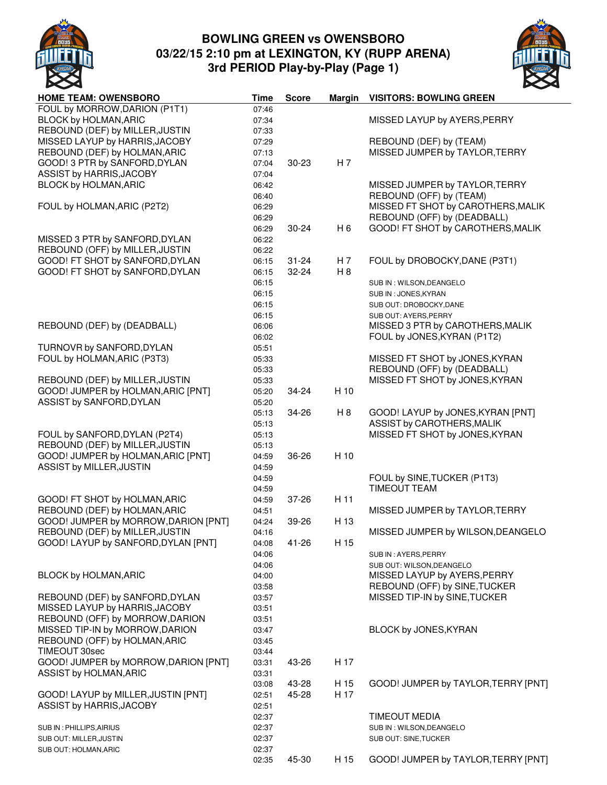

# **BOWLING GREEN vs OWENSBORO 03/22/15 2:10 pm at LEXINGTON, KY (RUPP ARENA) 3rd PERIOD Play-by-Play (Page 1)**



| <b>HOME TEAM: OWENSBORO</b>          | <b>Time</b> | <b>Score</b> | <b>Margin</b>  | <b>VISITORS: BOWLING GREEN</b>      |
|--------------------------------------|-------------|--------------|----------------|-------------------------------------|
| FOUL by MORROW, DARION (P1T1)        | 07:46       |              |                |                                     |
| <b>BLOCK by HOLMAN, ARIC</b>         | 07:34       |              |                | MISSED LAYUP by AYERS, PERRY        |
| REBOUND (DEF) by MILLER, JUSTIN      | 07:33       |              |                |                                     |
| MISSED LAYUP by HARRIS, JACOBY       | 07:29       |              |                | REBOUND (DEF) by (TEAM)             |
| REBOUND (DEF) by HOLMAN, ARIC        | 07:13       |              |                | MISSED JUMPER by TAYLOR, TERRY      |
| GOOD! 3 PTR by SANFORD, DYLAN        | 07:04       | $30 - 23$    | H7             |                                     |
| ASSIST by HARRIS, JACOBY             | 07:04       |              |                |                                     |
| BLOCK by HOLMAN, ARIC                | 06:42       |              |                | MISSED JUMPER by TAYLOR, TERRY      |
|                                      | 06:40       |              |                | REBOUND (OFF) by (TEAM)             |
| FOUL by HOLMAN, ARIC (P2T2)          | 06:29       |              |                | MISSED FT SHOT by CAROTHERS, MALIK  |
|                                      | 06:29       |              |                | REBOUND (OFF) by (DEADBALL)         |
|                                      | 06:29       | $30 - 24$    | H <sub>6</sub> | GOOD! FT SHOT by CAROTHERS, MALIK   |
| MISSED 3 PTR by SANFORD, DYLAN       | 06:22       |              |                |                                     |
| REBOUND (OFF) by MILLER, JUSTIN      | 06:22       |              |                |                                     |
| GOOD! FT SHOT by SANFORD, DYLAN      | 06:15       | $31 - 24$    | H 7            | FOUL by DROBOCKY, DANE (P3T1)       |
| GOOD! FT SHOT by SANFORD, DYLAN      | 06:15       | 32-24        | H 8            |                                     |
|                                      |             |              |                |                                     |
|                                      | 06:15       |              |                | SUB IN : WILSON, DEANGELO           |
|                                      | 06:15       |              |                | SUB IN: JONES, KYRAN                |
|                                      | 06:15       |              |                | SUB OUT: DROBOCKY, DANE             |
|                                      | 06:15       |              |                | SUB OUT: AYERS, PERRY               |
| REBOUND (DEF) by (DEADBALL)          | 06:06       |              |                | MISSED 3 PTR by CAROTHERS, MALIK    |
|                                      | 06:02       |              |                | FOUL by JONES, KYRAN (P1T2)         |
| TURNOVR by SANFORD, DYLAN            | 05:51       |              |                |                                     |
| FOUL by HOLMAN, ARIC (P3T3)          | 05:33       |              |                | MISSED FT SHOT by JONES, KYRAN      |
|                                      | 05:33       |              |                | REBOUND (OFF) by (DEADBALL)         |
| REBOUND (DEF) by MILLER, JUSTIN      | 05:33       |              |                | MISSED FT SHOT by JONES, KYRAN      |
| GOOD! JUMPER by HOLMAN, ARIC [PNT]   | 05:20       | 34-24        | H 10           |                                     |
| ASSIST by SANFORD, DYLAN             | 05:20       |              |                |                                     |
|                                      | 05:13       | 34-26        | H 8            | GOOD! LAYUP by JONES, KYRAN [PNT]   |
|                                      | 05:13       |              |                | ASSIST by CAROTHERS, MALIK          |
| FOUL by SANFORD, DYLAN (P2T4)        | 05:13       |              |                | MISSED FT SHOT by JONES, KYRAN      |
| REBOUND (DEF) by MILLER, JUSTIN      | 05:13       |              |                |                                     |
| GOOD! JUMPER by HOLMAN, ARIC [PNT]   | 04:59       | 36-26        | H 10           |                                     |
| ASSIST by MILLER, JUSTIN             | 04:59       |              |                |                                     |
|                                      | 04:59       |              |                | FOUL by SINE, TUCKER (P1T3)         |
|                                      | 04:59       |              |                | <b>TIMEOUT TEAM</b>                 |
| GOOD! FT SHOT by HOLMAN, ARIC        | 04:59       | 37-26        | H 11           |                                     |
| REBOUND (DEF) by HOLMAN, ARIC        | 04:51       |              |                | MISSED JUMPER by TAYLOR, TERRY      |
| GOOD! JUMPER by MORROW, DARION [PNT] | 04:24       | 39-26        | H 13           |                                     |
| REBOUND (DEF) by MILLER, JUSTIN      | 04:16       |              |                | MISSED JUMPER by WILSON, DEANGELO   |
| GOOD! LAYUP by SANFORD, DYLAN [PNT]  | 04:08       | 41-26        | H 15           |                                     |
|                                      | 04:06       |              |                | SUB IN: AYERS, PERRY                |
|                                      | 04:06       |              |                | SUB OUT: WILSON, DEANGELO           |
| BLOCK by HOLMAN, ARIC                | 04:00       |              |                | MISSED LAYUP by AYERS, PERRY        |
|                                      | 03:58       |              |                | REBOUND (OFF) by SINE, TUCKER       |
| REBOUND (DEF) by SANFORD, DYLAN      | 03:57       |              |                | MISSED TIP-IN by SINE, TUCKER       |
| MISSED LAYUP by HARRIS, JACOBY       | 03:51       |              |                |                                     |
| REBOUND (OFF) by MORROW, DARION      | 03:51       |              |                |                                     |
| MISSED TIP-IN by MORROW, DARION      | 03:47       |              |                | BLOCK by JONES, KYRAN               |
| REBOUND (OFF) by HOLMAN, ARIC        | 03:45       |              |                |                                     |
| TIMEOUT 30sec                        | 03:44       |              |                |                                     |
| GOOD! JUMPER by MORROW, DARION [PNT] | 03:31       | 43-26        | H 17           |                                     |
| ASSIST by HOLMAN, ARIC               | 03:31       |              |                |                                     |
|                                      | 03:08       | 43-28        | H 15           | GOOD! JUMPER by TAYLOR, TERRY [PNT] |
| GOOD! LAYUP by MILLER, JUSTIN [PNT]  | 02:51       | 45-28        | H 17           |                                     |
| ASSIST by HARRIS, JACOBY             |             |              |                |                                     |
|                                      | 02:51       |              |                | <b>TIMEOUT MEDIA</b>                |
|                                      | 02:37       |              |                |                                     |
| SUB IN : PHILLIPS, AIRIUS            | 02:37       |              |                | SUB IN : WILSON, DEANGELO           |
| SUB OUT: MILLER, JUSTIN              | 02:37       |              |                | SUB OUT: SINE, TUCKER               |
| SUB OUT: HOLMAN, ARIC                | 02:37       |              |                |                                     |
|                                      | 02:35       | 45-30        | H 15           | GOOD! JUMPER by TAYLOR, TERRY [PNT] |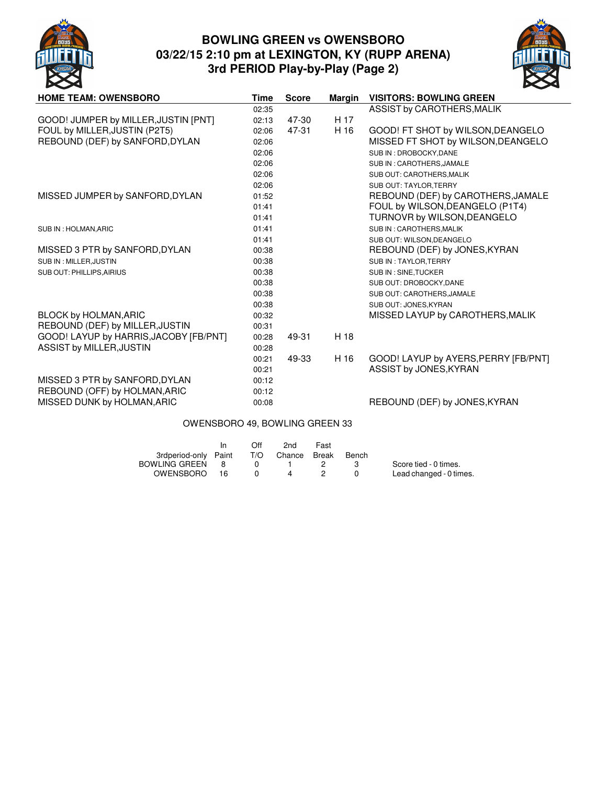

# **BOWLING GREEN vs OWENSBORO 03/22/15 2:10 pm at LEXINGTON, KY (RUPP ARENA) 3rd PERIOD Play-by-Play (Page 2)**



| <b>HOME TEAM: OWENSBORO</b>            | Time  | <b>Score</b> | <b>Margin</b> | <b>VISITORS: BOWLING GREEN</b>       |
|----------------------------------------|-------|--------------|---------------|--------------------------------------|
|                                        | 02:35 |              |               | ASSIST by CAROTHERS, MALIK           |
| GOOD! JUMPER by MILLER, JUSTIN [PNT]   | 02:13 | 47-30        | H 17          |                                      |
| FOUL by MILLER, JUSTIN (P2T5)          | 02:06 | 47-31        | H 16          | GOOD! FT SHOT by WILSON, DEANGELO    |
| REBOUND (DEF) by SANFORD, DYLAN        | 02:06 |              |               | MISSED FT SHOT by WILSON, DEANGELO   |
|                                        | 02:06 |              |               | SUB IN: DROBOCKY, DANE               |
|                                        | 02:06 |              |               | SUB IN: CAROTHERS, JAMALE            |
|                                        | 02:06 |              |               | SUB OUT: CAROTHERS, MALIK            |
|                                        | 02:06 |              |               | SUB OUT: TAYLOR, TERRY               |
| MISSED JUMPER by SANFORD, DYLAN        | 01:52 |              |               | REBOUND (DEF) by CAROTHERS, JAMALE   |
|                                        | 01:41 |              |               | FOUL by WILSON, DEANGELO (P1T4)      |
|                                        | 01:41 |              |               | TURNOVR by WILSON, DEANGELO          |
| SUB IN : HOLMAN, ARIC                  | 01:41 |              |               | SUB IN: CAROTHERS, MALIK             |
|                                        | 01:41 |              |               | SUB OUT: WILSON, DEANGELO            |
| MISSED 3 PTR by SANFORD, DYLAN         | 00:38 |              |               | REBOUND (DEF) by JONES, KYRAN        |
| SUB IN : MILLER, JUSTIN                | 00:38 |              |               | SUB IN: TAYLOR, TERRY                |
| SUB OUT: PHILLIPS, AIRIUS              | 00:38 |              |               | SUB IN: SINE, TUCKER                 |
|                                        | 00:38 |              |               | SUB OUT: DROBOCKY, DANE              |
|                                        | 00:38 |              |               | SUB OUT: CAROTHERS, JAMALE           |
|                                        | 00:38 |              |               | SUB OUT: JONES, KYRAN                |
| BLOCK by HOLMAN, ARIC                  | 00:32 |              |               | MISSED LAYUP by CAROTHERS, MALIK     |
| REBOUND (DEF) by MILLER, JUSTIN        | 00:31 |              |               |                                      |
| GOOD! LAYUP by HARRIS, JACOBY [FB/PNT] | 00:28 | 49-31        | H 18          |                                      |
| ASSIST by MILLER, JUSTIN               | 00:28 |              |               |                                      |
|                                        | 00:21 | 49-33        | H 16          | GOOD! LAYUP by AYERS, PERRY [FB/PNT] |
|                                        | 00:21 |              |               | ASSIST by JONES, KYRAN               |
| MISSED 3 PTR by SANFORD, DYLAN         | 00:12 |              |               |                                      |
| REBOUND (OFF) by HOLMAN, ARIC          | 00:12 |              |               |                                      |
| MISSED DUNK by HOLMAN, ARIC            | 00:08 |              |               | REBOUND (DEF) by JONES, KYRAN        |

### OWENSBORO 49, BOWLING GREEN 33

|                      |     | Off | 2nd          | Fast |       |                         |
|----------------------|-----|-----|--------------|------|-------|-------------------------|
| 3rdperiod-only Paint |     | T/O | Chance Break |      | Bench |                         |
| BOWLING GREEN        | - 8 |     |              |      |       | Score tied - 0 times.   |
| OWENSBORO 16         |     |     | $\mathbf{A}$ |      |       | Lead changed - 0 times. |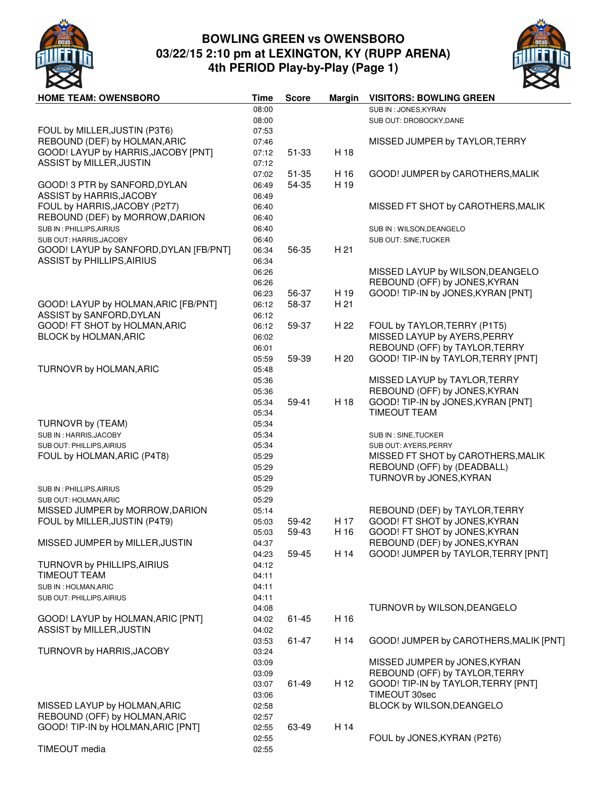

# **BOWLING GREEN vs OWENSBORO 03/22/15 2:10 pm at LEXINGTON, KY (RUPP ARENA) 4th PERIOD Play-by-Play (Page 1)**



| <b>HOME TEAM: OWENSBORO</b>            | Time  | <b>Score</b> | <b>Margin</b> | <b>VISITORS: BOWLING GREEN</b>         |
|----------------------------------------|-------|--------------|---------------|----------------------------------------|
|                                        | 08:00 |              |               | SUB IN: JONES, KYRAN                   |
|                                        | 08:00 |              |               | SUB OUT: DROBOCKY, DANE                |
| FOUL by MILLER, JUSTIN (P3T6)          | 07:53 |              |               |                                        |
| REBOUND (DEF) by HOLMAN, ARIC          | 07:46 |              |               | MISSED JUMPER by TAYLOR, TERRY         |
|                                        |       |              |               |                                        |
| GOOD! LAYUP by HARRIS, JACOBY [PNT]    | 07:12 | 51-33        | H 18          |                                        |
| ASSIST by MILLER, JUSTIN               | 07:12 |              |               |                                        |
|                                        | 07:02 | 51-35        | H 16          | GOOD! JUMPER by CAROTHERS, MALIK       |
| GOOD! 3 PTR by SANFORD, DYLAN          | 06:49 | 54-35        | H 19          |                                        |
| ASSIST by HARRIS, JACOBY               | 06:49 |              |               |                                        |
| FOUL by HARRIS, JACOBY (P2T7)          | 06:40 |              |               | MISSED FT SHOT by CAROTHERS, MALIK     |
| REBOUND (DEF) by MORROW, DARION        | 06:40 |              |               |                                        |
| SUB IN: PHILLIPS, AIRIUS               | 06:40 |              |               | SUB IN : WILSON, DEANGELO              |
| SUB OUT: HARRIS, JACOBY                | 06:40 |              |               | SUB OUT: SINE, TUCKER                  |
|                                        |       |              |               |                                        |
| GOOD! LAYUP by SANFORD, DYLAN [FB/PNT] | 06:34 | 56-35        | H 21          |                                        |
| <b>ASSIST by PHILLIPS, AIRIUS</b>      | 06:34 |              |               |                                        |
|                                        | 06:26 |              |               | MISSED LAYUP by WILSON, DEANGELO       |
|                                        | 06:26 |              |               | REBOUND (OFF) by JONES, KYRAN          |
|                                        | 06:23 | 56-37        | H 19          | GOOD! TIP-IN by JONES, KYRAN [PNT]     |
| GOOD! LAYUP by HOLMAN, ARIC [FB/PNT]   | 06:12 | 58-37        | H 21          |                                        |
| ASSIST by SANFORD, DYLAN               | 06:12 |              |               |                                        |
| GOOD! FT SHOT by HOLMAN, ARIC          | 06:12 | 59-37        | H 22          | FOUL by TAYLOR, TERRY (P1T5)           |
|                                        |       |              |               |                                        |
| BLOCK by HOLMAN, ARIC                  | 06:02 |              |               | MISSED LAYUP by AYERS, PERRY           |
|                                        | 06:01 |              |               | REBOUND (OFF) by TAYLOR, TERRY         |
|                                        | 05:59 | 59-39        | H 20          | GOOD! TIP-IN by TAYLOR, TERRY [PNT]    |
| TURNOVR by HOLMAN, ARIC                | 05:48 |              |               |                                        |
|                                        | 05:36 |              |               | MISSED LAYUP by TAYLOR, TERRY          |
|                                        | 05:36 |              |               | REBOUND (OFF) by JONES, KYRAN          |
|                                        | 05:34 | 59-41        | H 18          | GOOD! TIP-IN by JONES, KYRAN [PNT]     |
|                                        | 05:34 |              |               | <b>TIMEOUT TEAM</b>                    |
|                                        |       |              |               |                                        |
| TURNOVR by (TEAM)                      | 05:34 |              |               |                                        |
| SUB IN: HARRIS, JACOBY                 | 05:34 |              |               | SUB IN : SINE, TUCKER                  |
| SUB OUT: PHILLIPS, AIRIUS              | 05:34 |              |               | SUB OUT: AYERS, PERRY                  |
| FOUL by HOLMAN, ARIC (P4T8)            | 05:29 |              |               | MISSED FT SHOT by CAROTHERS, MALIK     |
|                                        | 05:29 |              |               | REBOUND (OFF) by (DEADBALL)            |
|                                        | 05:29 |              |               | TURNOVR by JONES, KYRAN                |
| SUB IN : PHILLIPS, AIRIUS              | 05:29 |              |               |                                        |
| SUB OUT: HOLMAN, ARIC                  | 05:29 |              |               |                                        |
| MISSED JUMPER by MORROW, DARION        | 05:14 |              |               | REBOUND (DEF) by TAYLOR, TERRY         |
| FOUL by MILLER, JUSTIN (P4T9)          | 05:03 | 59-42        | H 17          | GOOD! FT SHOT by JONES, KYRAN          |
|                                        |       | 59-43        | H 16          | GOOD! FT SHOT by JONES, KYRAN          |
|                                        | 05:03 |              |               |                                        |
| MISSED JUMPER by MILLER, JUSTIN        | 04:37 |              |               | REBOUND (DEF) by JONES, KYRAN          |
|                                        | 04:23 | 59-45        | H 14          | GOOD! JUMPER by TAYLOR, TERRY [PNT]    |
| TURNOVR by PHILLIPS, AIRIUS            | 04:12 |              |               |                                        |
| <b>TIMEOUT TEAM</b>                    | 04:11 |              |               |                                        |
| SUB IN : HOLMAN, ARIC                  | 04:11 |              |               |                                        |
| SUB OUT: PHILLIPS, AIRIUS              | 04:11 |              |               |                                        |
|                                        | 04:08 |              |               | TURNOVR by WILSON, DEANGELO            |
| GOOD! LAYUP by HOLMAN, ARIC [PNT]      | 04:02 | 61-45        | H 16          |                                        |
| ASSIST by MILLER, JUSTIN               | 04:02 |              |               |                                        |
|                                        |       |              |               |                                        |
|                                        | 03:53 | 61-47        | H 14          | GOOD! JUMPER by CAROTHERS, MALIK [PNT] |
| TURNOVR by HARRIS, JACOBY              | 03:24 |              |               |                                        |
|                                        | 03:09 |              |               | MISSED JUMPER by JONES, KYRAN          |
|                                        | 03:09 |              |               | REBOUND (OFF) by TAYLOR, TERRY         |
|                                        | 03:07 | 61-49        | H 12          | GOOD! TIP-IN by TAYLOR, TERRY [PNT]    |
|                                        | 03:06 |              |               | TIMEOUT 30sec                          |
| MISSED LAYUP by HOLMAN, ARIC           | 02:58 |              |               | BLOCK by WILSON, DEANGELO              |
| REBOUND (OFF) by HOLMAN, ARIC          | 02:57 |              |               |                                        |
| GOOD! TIP-IN by HOLMAN, ARIC [PNT]     | 02:55 | 63-49        | H 14          |                                        |
|                                        |       |              |               | FOUL by JONES, KYRAN (P2T6)            |
|                                        | 02:55 |              |               |                                        |
| TIMEOUT media                          | 02:55 |              |               |                                        |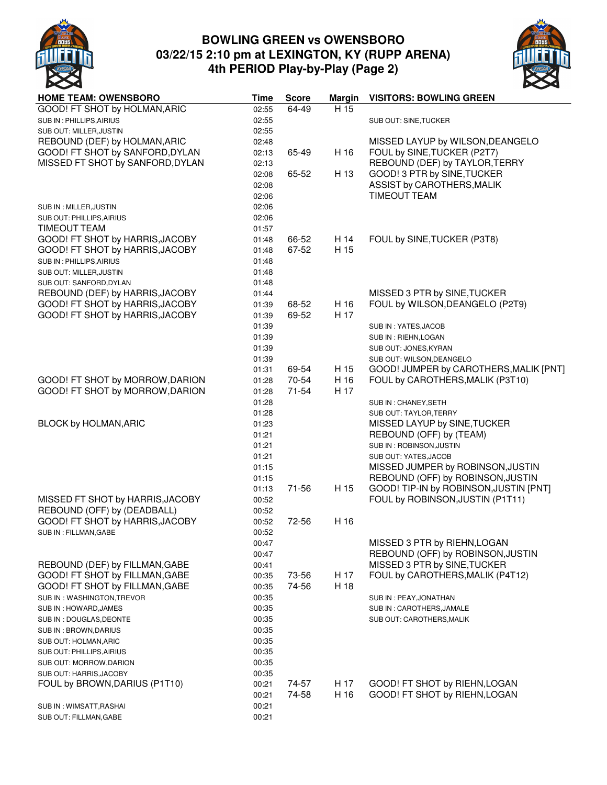

# **BOWLING GREEN vs OWENSBORO 03/22/15 2:10 pm at LEXINGTON, KY (RUPP ARENA) 4th PERIOD Play-by-Play (Page 2)**



| <b>HOME TEAM: OWENSBORO</b>                                        | Time           | <b>Score</b>   | <b>Margin</b> | <b>VISITORS: BOWLING GREEN</b>                                  |
|--------------------------------------------------------------------|----------------|----------------|---------------|-----------------------------------------------------------------|
| GOOD! FT SHOT by HOLMAN, ARIC                                      | 02:55          | 64-49          | H 15          |                                                                 |
| SUB IN: PHILLIPS, AIRIUS                                           | 02:55          |                |               | SUB OUT: SINE, TUCKER                                           |
| SUB OUT: MILLER, JUSTIN                                            | 02:55          |                |               |                                                                 |
| REBOUND (DEF) by HOLMAN, ARIC                                      | 02:48          |                |               | MISSED LAYUP by WILSON, DEANGELO                                |
| GOOD! FT SHOT by SANFORD, DYLAN                                    | 02:13          | 65-49          | H 16          | FOUL by SINE, TUCKER (P2T7)                                     |
| MISSED FT SHOT by SANFORD, DYLAN                                   | 02:13          |                |               | REBOUND (DEF) by TAYLOR, TERRY                                  |
|                                                                    | 02:08          | 65-52          | H 13          | GOOD! 3 PTR by SINE, TUCKER                                     |
|                                                                    | 02:08          |                |               | ASSIST by CAROTHERS, MALIK                                      |
|                                                                    | 02:06          |                |               | <b>TIMEOUT TEAM</b>                                             |
| SUB IN : MILLER, JUSTIN                                            | 02:06          |                |               |                                                                 |
| SUB OUT: PHILLIPS, AIRIUS                                          | 02:06          |                |               |                                                                 |
| <b>TIMEOUT TEAM</b>                                                | 01:57          |                |               |                                                                 |
| GOOD! FT SHOT by HARRIS, JACOBY                                    | 01:48          | 66-52          | H 14          | FOUL by SINE, TUCKER (P3T8)                                     |
| GOOD! FT SHOT by HARRIS, JACOBY                                    | 01:48          | 67-52          | H 15          |                                                                 |
| SUB IN: PHILLIPS, AIRIUS                                           | 01:48          |                |               |                                                                 |
| SUB OUT: MILLER, JUSTIN                                            | 01:48          |                |               |                                                                 |
| SUB OUT: SANFORD, DYLAN                                            | 01:48          |                |               |                                                                 |
| REBOUND (DEF) by HARRIS, JACOBY<br>GOOD! FT SHOT by HARRIS, JACOBY | 01:44          | 68-52          | H 16          | MISSED 3 PTR by SINE, TUCKER<br>FOUL by WILSON, DEANGELO (P2T9) |
| GOOD! FT SHOT by HARRIS, JACOBY                                    | 01:39          | 69-52          | H 17          |                                                                 |
|                                                                    | 01:39<br>01:39 |                |               | SUB IN: YATES, JACOB                                            |
|                                                                    | 01:39          |                |               |                                                                 |
|                                                                    | 01:39          |                |               | SUB IN : RIEHN, LOGAN<br>SUB OUT: JONES, KYRAN                  |
|                                                                    | 01:39          |                |               | SUB OUT: WILSON, DEANGELO                                       |
|                                                                    | 01:31          | 69-54          | H 15          | GOOD! JUMPER by CAROTHERS, MALIK [PNT]                          |
| GOOD! FT SHOT by MORROW, DARION                                    | 01:28          | 70-54          | H 16          | FOUL by CAROTHERS, MALIK (P3T10)                                |
| GOOD! FT SHOT by MORROW, DARION                                    | 01:28          | $71 - 54$      | H 17          |                                                                 |
|                                                                    | 01:28          |                |               | SUB IN: CHANEY, SETH                                            |
|                                                                    | 01:28          |                |               | SUB OUT: TAYLOR, TERRY                                          |
| BLOCK by HOLMAN, ARIC                                              | 01:23          |                |               | MISSED LAYUP by SINE, TUCKER                                    |
|                                                                    | 01:21          |                |               | REBOUND (OFF) by (TEAM)                                         |
|                                                                    | 01:21          |                |               | SUB IN : ROBINSON, JUSTIN                                       |
|                                                                    | 01:21          |                |               | SUB OUT: YATES, JACOB                                           |
|                                                                    | 01:15          |                |               | MISSED JUMPER by ROBINSON, JUSTIN                               |
|                                                                    | 01:15          |                |               | REBOUND (OFF) by ROBINSON, JUSTIN                               |
|                                                                    | 01:13          | 71-56          | H 15          | GOOD! TIP-IN by ROBINSON, JUSTIN [PNT]                          |
| MISSED FT SHOT by HARRIS, JACOBY                                   | 00:52          |                |               | FOUL by ROBINSON, JUSTIN (P1T11)                                |
| REBOUND (OFF) by (DEADBALL)                                        | 00:52          |                |               |                                                                 |
| GOOD! FT SHOT by HARRIS, JACOBY                                    | 00:52          | 72-56          | H 16          |                                                                 |
| SUB IN : FILLMAN, GABE                                             | 00:52          |                |               |                                                                 |
|                                                                    | 00:47          |                |               | MISSED 3 PTR by RIEHN, LOGAN                                    |
|                                                                    | 00:47          |                |               | REBOUND (OFF) by ROBINSON, JUSTIN                               |
| REBOUND (DEF) by FILLMAN, GABE                                     | 00:41          |                |               | MISSED 3 PTR by SINE, TUCKER                                    |
| GOOD! FT SHOT by FILLMAN, GABE                                     | 00:35          | 73-56          | H 17          | FOUL by CAROTHERS, MALIK (P4T12)                                |
| GOOD! FT SHOT by FILLMAN, GABE                                     | 00:35          | 74-56          | H 18          |                                                                 |
| SUB IN : WASHINGTON, TREVOR                                        | 00:35          |                |               | SUB IN : PEAY, JONATHAN                                         |
| SUB IN : HOWARD, JAMES                                             | 00:35          |                |               | SUB IN : CAROTHERS, JAMALE                                      |
| SUB IN : DOUGLAS, DEONTE                                           | 00:35          |                |               | SUB OUT: CAROTHERS, MALIK                                       |
| SUB IN : BROWN, DARIUS                                             | 00:35          |                |               |                                                                 |
| SUB OUT: HOLMAN, ARIC                                              | 00:35          |                |               |                                                                 |
| SUB OUT: PHILLIPS, AIRIUS                                          | 00:35          |                |               |                                                                 |
| SUB OUT: MORROW, DARION                                            | 00:35          |                |               |                                                                 |
| SUB OUT: HARRIS, JACOBY                                            | 00:35          |                | H 17          | GOOD! FT SHOT by RIEHN, LOGAN                                   |
| FOUL by BROWN, DARIUS (P1T10)                                      | 00:21<br>00:21 | 74-57<br>74-58 | H 16          | GOOD! FT SHOT by RIEHN, LOGAN                                   |
| SUB IN : WIMSATT, RASHAI                                           | 00:21          |                |               |                                                                 |
| SUB OUT: FILLMAN, GABE                                             | 00:21          |                |               |                                                                 |
|                                                                    |                |                |               |                                                                 |